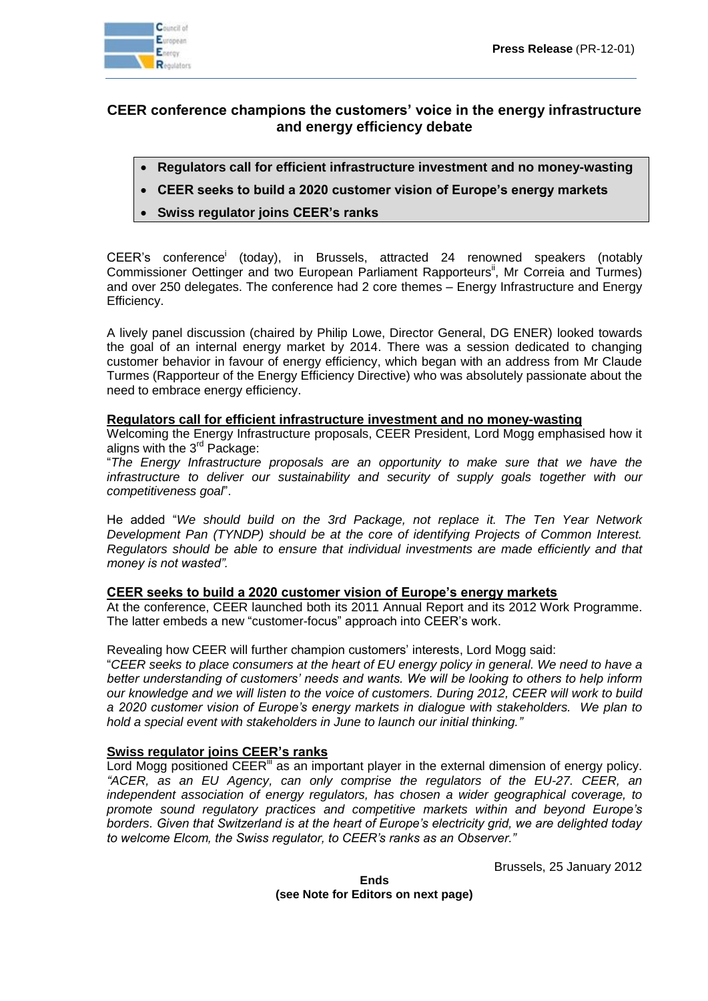

# **CEER conference champions the customers' voice in the energy infrastructure and energy efficiency debate**

- **Regulators call for efficient infrastructure investment and no money-wasting**
- **CEER seeks to build a 2020 customer vision of Europe's energy markets**
- **Swiss regulator joins CEER's ranks**

CEER's conference<sup>i</sup> (today), in Brussels, attracted 24 renowned speakers (notably Commissioner Oettinger and two European Parliament Rapporteurs<sup>ii</sup>, Mr Correia and Turmes) and over 250 delegates. The conference had 2 core themes – Energy Infrastructure and Energy Efficiency.

A lively panel discussion (chaired by Philip Lowe, Director General, DG ENER) looked towards the goal of an internal energy market by 2014. There was a session dedicated to changing customer behavior in favour of energy efficiency, which began with an address from Mr Claude Turmes (Rapporteur of the Energy Efficiency Directive) who was absolutely passionate about the need to embrace energy efficiency.

### **Regulators call for efficient infrastructure investment and no money-wasting**

Welcoming the Energy Infrastructure proposals, CEER President, Lord Mogg emphasised how it aligns with the 3<sup>rd</sup> Package:

"*The Energy Infrastructure proposals are an opportunity to make sure that we have the infrastructure to deliver our sustainability and security of supply goals together with our competitiveness goal*".

He added "*We should build on the 3rd Package, not replace it. The Ten Year Network Development Pan (TYNDP) should be at the core of identifying Projects of Common Interest. Regulators should be able to ensure that individual investments are made efficiently and that money is not wasted".*

#### **CEER seeks to build a 2020 customer vision of Europe's energy markets**

At the conference, CEER launched both its 2011 Annual Report and its 2012 Work Programme. The latter embeds a new "customer-focus" approach into CEER's work.

Revealing how CEER will further champion customers' interests, Lord Mogg said:

"*CEER seeks to place consumers at the heart of EU energy policy in general. We need to have a better understanding of customers' needs and wants. We will be looking to others to help inform our knowledge and we will listen to the voice of customers. During 2012, CEER will work to build a 2020 customer vision of Europe's energy markets in dialogue with stakeholders. We plan to hold a special event with stakeholders in June to launch our initial thinking."*

## **Swiss regulator joins CEER's ranks**

Lord Mogg positioned  $CER^{\mu}$  as an important player in the external dimension of energy policy. *"ACER, as an EU Agency, can only comprise the regulators of the EU-27. CEER, an independent association of energy regulators, has chosen a wider geographical coverage, to promote sound regulatory practices and competitive markets within and beyond Europe's borders. Given that Switzerland is at the heart of Europe's electricity grid, we are delighted today to welcome Elcom, the Swiss regulator, to CEER's ranks as an Observer."*

Brussels, 25 January 2012

**Ends (see Note for Editors on next page)**